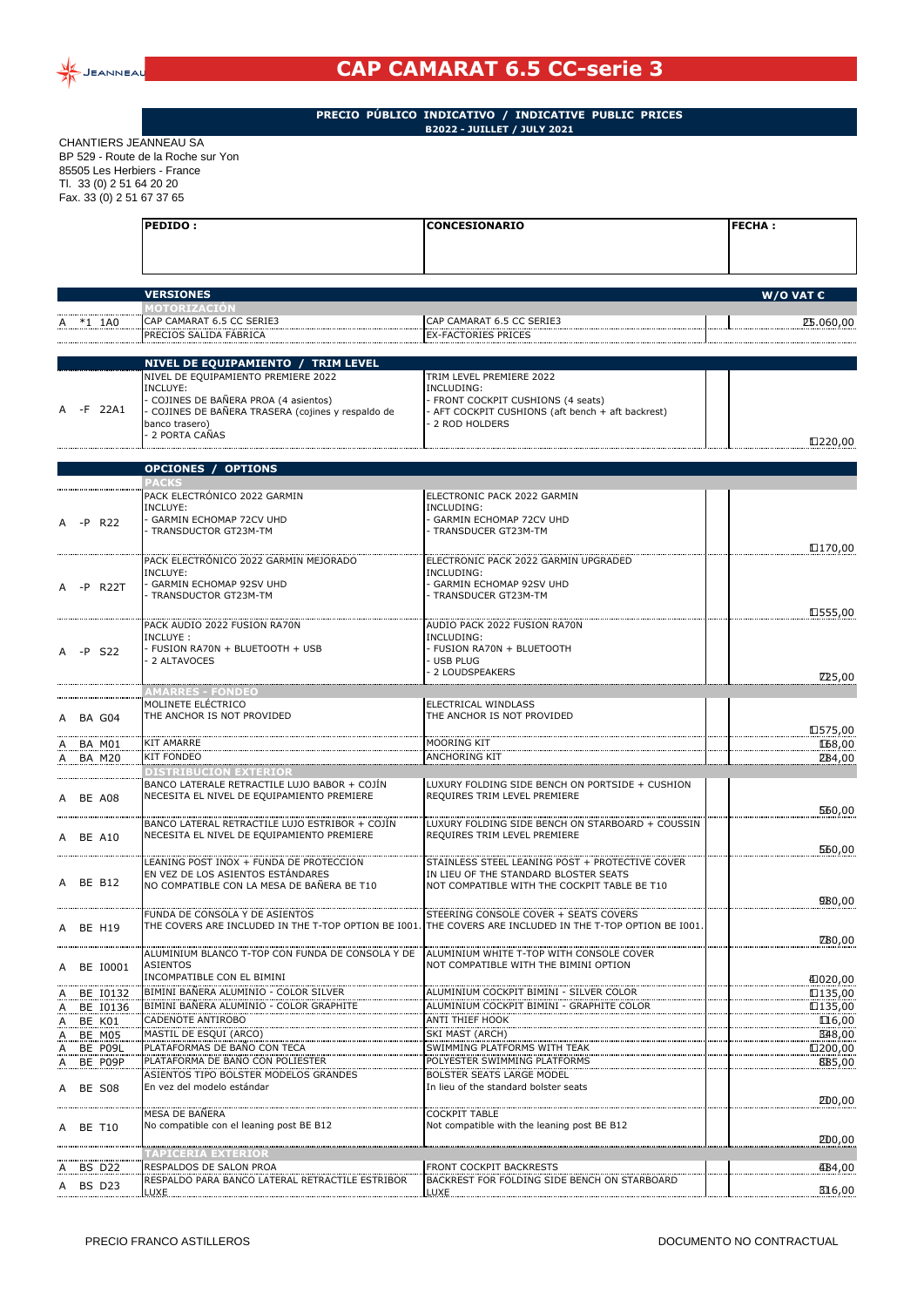

## **CAP CAMARAT 6.5 CC-serie 3**

**PRECIO PÚBLICO INDICATIVO / INDICATIVE PUBLIC PRICES B2022 - JUILLET / JULY 2021**

CHANTIERS JEANNEAU SA BP 529 - Route de la Roche sur Yon 85505 Les Herbiers - France Tl. 33 (0) 2 51 64 20 20 Fax. 33 (0) 2 51 67 37 65

|    |                         | PEDIDO:                                                                                | <b>CONCESIONARIO</b>                                                                          | <b>FECHA:</b>      |  |
|----|-------------------------|----------------------------------------------------------------------------------------|-----------------------------------------------------------------------------------------------|--------------------|--|
|    |                         |                                                                                        |                                                                                               |                    |  |
|    |                         |                                                                                        |                                                                                               |                    |  |
|    |                         |                                                                                        |                                                                                               |                    |  |
|    |                         | <b>VERSIONES</b><br>MOTORIZACION                                                       |                                                                                               | W/O VAT $\epsilon$ |  |
|    | *1 1A0                  | CAP CAMARAT 6.5 CC SERIE3                                                              | CAP CAMARAT 6.5 CC SERIE3                                                                     | <b>£5.060,00</b>   |  |
|    |                         | PRECIOS SALIDA FÁBRICA                                                                 | <b>EX-FACTORIES PRICES</b>                                                                    |                    |  |
|    |                         | NIVEL DE EQUIPAMIENTO / TRIM LEVEL                                                     |                                                                                               |                    |  |
|    |                         | NIVEL DE EQUIPAMIENTO PREMIERE 2022                                                    | TRIM LEVEL PREMIERE 2022                                                                      |                    |  |
|    |                         | INCLUYE:<br>- COJINES DE BAÑERA PROA (4 asientos)                                      | INCLUDING:<br>- FRONT COCKPIT CUSHIONS (4 seats)                                              |                    |  |
|    | -F 22A1                 | - COJINES DE BAÑERA TRASERA (cojines y respaldo de                                     | - AFT COCKPIT CUSHIONS (aft bench + aft backrest)                                             |                    |  |
|    |                         | banco trasero)                                                                         | 2 ROD HOLDERS                                                                                 |                    |  |
|    |                         | - 2 PORTA CAÑAS                                                                        |                                                                                               | €.220,00           |  |
|    |                         | <b>OPCIONES / OPTIONS</b>                                                              |                                                                                               |                    |  |
|    |                         | <b>PACKS</b>                                                                           |                                                                                               |                    |  |
|    |                         | PACK ELECTRÓNICO 2022 GARMIN<br>INCLUYE:                                               | ELECTRONIC PACK 2022 GARMIN<br>INCLUDING:                                                     |                    |  |
|    | -P R22                  | - GARMIN ECHOMAP 72CV UHD                                                              | - GARMIN ECHOMAP 72CV UHD                                                                     |                    |  |
|    |                         | TRANSDUCTOR GT23M-TM                                                                   | TRANSDUCER GT23M-TM                                                                           |                    |  |
|    |                         |                                                                                        |                                                                                               | €.170,00           |  |
|    |                         | PACK ELECTRÓNICO 2022 GARMIN MEJORADO<br>INCLUYE:                                      | ELECTRONIC PACK 2022 GARMIN UPGRADED<br>INCLUDING:                                            |                    |  |
|    | -P R22T                 | - GARMIN ECHOMAP 92SV UHD                                                              | - GARMIN ECHOMAP 92SV UHD                                                                     |                    |  |
|    |                         | TRANSDUCTOR GT23M-TM                                                                   | TRANSDUCER GT23M-TM                                                                           |                    |  |
|    |                         |                                                                                        |                                                                                               | €.555,00           |  |
|    |                         | PACK AUDIO 2022 FUSION RA70N<br>INCLUYE:                                               | AUDIO PACK 2022 FUSION RA70N<br>INCLUDING:                                                    |                    |  |
|    | A -P S22                | - FUSION RA70N + BLUETOOTH + USB                                                       | - FUSION RA70N + BLUETOOTH                                                                    |                    |  |
|    |                         | 2 ALTAVOCES                                                                            | <b>USB PLUG</b><br>2 LOUDSPEAKERS                                                             |                    |  |
|    |                         | <b>AMARRES - FONDEO</b>                                                                |                                                                                               | €25,00             |  |
|    |                         | MOLINETE ELÉCTRICO                                                                     | ELECTRICAL WINDLASS                                                                           |                    |  |
|    | A BA G04                | THE ANCHOR IS NOT PROVIDED                                                             | THE ANCHOR IS NOT PROVIDED                                                                    |                    |  |
|    |                         | <b>KIT AMARRE</b>                                                                      | <b>MOORING KIT</b>                                                                            | €.575,00<br>€68,00 |  |
|    | BA M01<br><b>BA M20</b> | <b>KIT FONDEO</b>                                                                      | ANCHORING KIT                                                                                 | <b>£</b> 84,00     |  |
|    |                         | <b>DISTRIBUCION EXTERIOR</b>                                                           |                                                                                               |                    |  |
|    |                         | BANCO LATERALE RETRACTILE LUJO BABOR + COJÍN                                           | LUXURY FOLDING SIDE BENCH ON PORTSIDE + CUSHION                                               |                    |  |
|    | A BE A08                | NECESITA EL NIVEL DE EQUIPAMIENTO PREMIERE                                             | REQUIRES TRIM LEVEL PREMIERE                                                                  | 560,00             |  |
|    |                         | BANCO LATERAL RETRACTILE LUJO ESTRIBOR + COJÍN                                         | LUXURY FOLDING SIDE BENCH ON STARBOARD + COUSSIN                                              |                    |  |
|    | A BE A10                | NECESITA EL NIVEL DE EQUIPAMIENTO PREMIERE                                             | REQUIRES TRIM LEVEL PREMIERE                                                                  |                    |  |
|    |                         |                                                                                        |                                                                                               | €60,00             |  |
|    |                         | LEANING POST INOX + FUNDA DE PROTECCION<br>EN VEZ DE LOS ASIENTOS ESTÁNDARES           | STAINLESS STEEL LEANING POST + PROTECTIVE COVER<br>IN LIEU OF THE STANDARD BLOSTER SEATS      |                    |  |
|    | A BE B12                | NO COMPATIBLE CON LA MESA DE BAÑERA BE T10                                             | NOT COMPATIBLE WITH THE COCKPIT TABLE BE T10                                                  |                    |  |
|    |                         |                                                                                        |                                                                                               | 980,00             |  |
|    | A BE H19                | FUNDA DE CONSOLA Y DE ASIENTOS<br>THE COVERS ARE INCLUDED IN THE T-TOP OPTION BE I001. | STEERING CONSOLE COVER + SEATS COVERS<br>THE COVERS ARE INCLUDED IN THE T-TOP OPTION BE I001. |                    |  |
|    |                         |                                                                                        |                                                                                               | €80,00             |  |
|    |                         | ALUMINIUM BLANCO T-TOP CON FUNDA DE CONSOLA Y DE                                       | ALUMINIUM WHITE T-TOP WITH CONSOLE COVER                                                      |                    |  |
|    | A BE I0001              | <b>ASIENTOS</b><br>INCOMPATIBLE CON EL BIMINI                                          | NOT COMPATIBLE WITH THE BIMINI OPTION                                                         | €.020,00           |  |
|    | A BE 10132              | BIMINI BAÑERA ALUMINIO - COLOR SILVER                                                  | ALUMINIUM COCKPIT BIMINI - SILVER COLOR                                                       | €.135,00           |  |
|    | BE 10136                | BIMINI BANERA ALUMINIO - COLOR GRAPHITE                                                | ALUMINIUM COCKPIT BIMINI - GRAPHITE COLOR                                                     | €.135,00           |  |
| A  | BE K01                  | CADENOTE ANTIROBO                                                                      | ANTI THIEF HOOK                                                                               | €16,00             |  |
| A  | BE M05                  | MASTIL DE ESQUI (ARCO)                                                                 | SKI MAST (ARCH)                                                                               | €48,00             |  |
| A. | BE P09L<br>A BE P09P    | PLATAFORMAS DE BAÑO CON TECA<br>PLATAFORMA DE BAÑO CON POLIESTER                       | SWIMMING PLATFORMS WITH TEAK<br>POLYESTER SWIMMING PLATFORMS                                  | €.200,00<br>€85,00 |  |
|    |                         | ASIENTOS TIPO BOLSTER MODELOS GRANDES                                                  | <b>BOLSTER SEATS LARGE MODEL</b>                                                              |                    |  |
|    | A BE S08                | En vez del modelo estándar                                                             | In lieu of the standard bolster seats                                                         |                    |  |
|    |                         |                                                                                        |                                                                                               | <b>£</b> 00,00     |  |
|    | A BE T10                | MESA DE BAÑERA<br>No compatible con el leaning post BE B12                             | <b>COCKPIT TABLE</b><br>Not compatible with the leaning post BE B12                           |                    |  |
|    |                         |                                                                                        |                                                                                               | <b>∉</b> 00,00     |  |
|    |                         | 'APICERIA EXTERIOF                                                                     |                                                                                               |                    |  |
|    | A BS D22                | RESPALDOS DE SALON PROA                                                                | FRONT COCKPIT BACKRESTS                                                                       | €84,00             |  |
|    | A BS D23                | RESPALDO PARA BANCO LATERAL RETRACTILE ESTRIBOR<br><b>LUXE</b>                         | BACKREST FOR FOLDING SIDE BENCH ON STARBOARD<br>LUXE                                          | €16,00             |  |